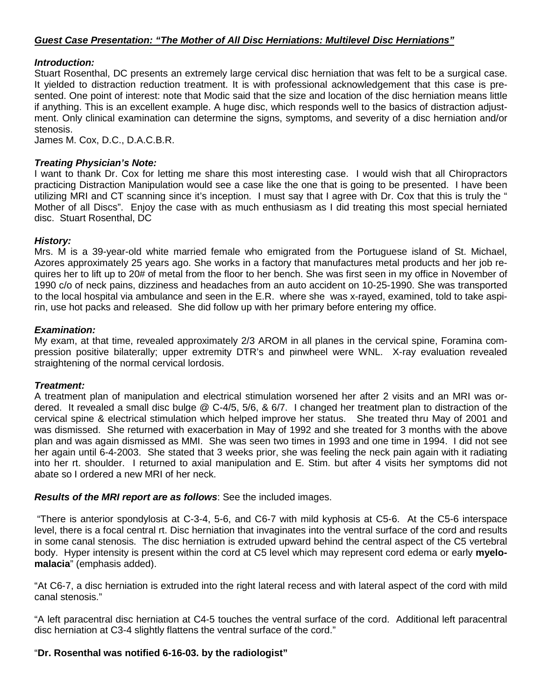# *Introduction:*

Stuart Rosenthal, DC presents an extremely large cervical disc herniation that was felt to be a surgical case. It yielded to distraction reduction treatment. It is with professional acknowledgement that this case is presented. One point of interest: note that Modic said that the size and location of the disc herniation means little if anything. This is an excellent example. A huge disc, which responds well to the basics of distraction adjustment. Only clinical examination can determine the signs, symptoms, and severity of a disc herniation and/or stenosis.

James M. Cox, D.C., D.A.C.B.R.

## *Treating Physician's Note:*

I want to thank Dr. Cox for letting me share this most interesting case. I would wish that all Chiropractors practicing Distraction Manipulation would see a case like the one that is going to be presented. I have been utilizing MRI and CT scanning since it's inception. I must say that I agree with Dr. Cox that this is truly the " Mother of all Discs". Enjoy the case with as much enthusiasm as I did treating this most special herniated disc. Stuart Rosenthal, DC

### *History:*

Mrs. M is a 39-year-old white married female who emigrated from the Portuguese island of St. Michael, Azores approximately 25 years ago. She works in a factory that manufactures metal products and her job requires her to lift up to 20# of metal from the floor to her bench. She was first seen in my office in November of 1990 c/o of neck pains, dizziness and headaches from an auto accident on 10-25-1990. She was transported to the local hospital via ambulance and seen in the E.R. where she was x-rayed, examined, told to take aspirin, use hot packs and released. She did follow up with her primary before entering my office.

### *Examination:*

My exam, at that time, revealed approximately 2/3 AROM in all planes in the cervical spine, Foramina compression positive bilaterally; upper extremity DTR's and pinwheel were WNL. X-ray evaluation revealed straightening of the normal cervical lordosis.

#### *Treatment:*

A treatment plan of manipulation and electrical stimulation worsened her after 2 visits and an MRI was ordered. It revealed a small disc bulge @ C-4/5, 5/6, & 6/7. I changed her treatment plan to distraction of the cervical spine & electrical stimulation which helped improve her status. She treated thru May of 2001 and was dismissed. She returned with exacerbation in May of 1992 and she treated for 3 months with the above plan and was again dismissed as MMI. She was seen two times in 1993 and one time in 1994. I did not see her again until 6-4-2003. She stated that 3 weeks prior, she was feeling the neck pain again with it radiating into her rt. shoulder. I returned to axial manipulation and E. Stim. but after 4 visits her symptoms did not abate so I ordered a new MRI of her neck.

#### *Results of the MRI report are as follows*: See the included images.

 "There is anterior spondylosis at C-3-4, 5-6, and C6-7 with mild kyphosis at C5-6. At the C5-6 interspace level, there is a focal central rt. Disc herniation that invaginates into the ventral surface of the cord and results in some canal stenosis. The disc herniation is extruded upward behind the central aspect of the C5 vertebral body. Hyper intensity is present within the cord at C5 level which may represent cord edema or early **myelomalacia**" (emphasis added).

"At C6-7, a disc herniation is extruded into the right lateral recess and with lateral aspect of the cord with mild canal stenosis."

"A left paracentral disc herniation at C4-5 touches the ventral surface of the cord. Additional left paracentral disc herniation at C3-4 slightly flattens the ventral surface of the cord."

# "**Dr. Rosenthal was notified 6-16-03. by the radiologist"**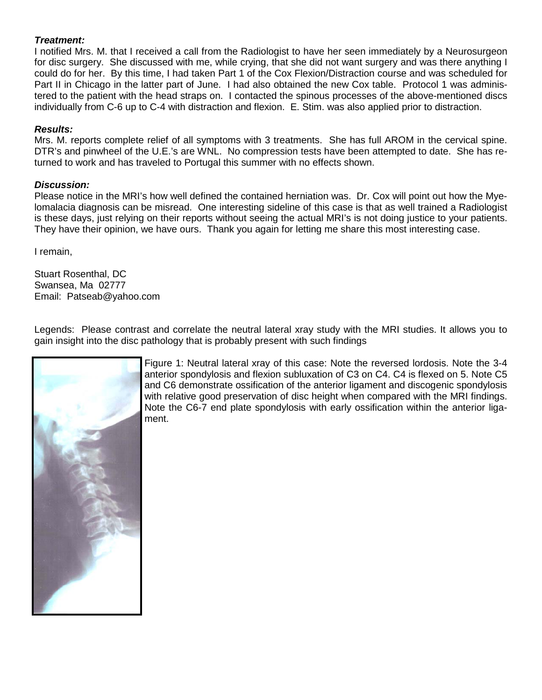# *Treatment:*

I notified Mrs. M. that I received a call from the Radiologist to have her seen immediately by a Neurosurgeon for disc surgery. She discussed with me, while crying, that she did not want surgery and was there anything I could do for her. By this time, I had taken Part 1 of the Cox Flexion/Distraction course and was scheduled for Part II in Chicago in the latter part of June. I had also obtained the new Cox table. Protocol 1 was administered to the patient with the head straps on. I contacted the spinous processes of the above-mentioned discs individually from C-6 up to C-4 with distraction and flexion. E. Stim. was also applied prior to distraction.

# *Results:*

Mrs. M. reports complete relief of all symptoms with 3 treatments. She has full AROM in the cervical spine. DTR's and pinwheel of the U.E.'s are WNL. No compression tests have been attempted to date. She has returned to work and has traveled to Portugal this summer with no effects shown.

# *Discussion:*

Please notice in the MRI's how well defined the contained herniation was. Dr. Cox will point out how the Myelomalacia diagnosis can be misread. One interesting sideline of this case is that as well trained a Radiologist is these days, just relying on their reports without seeing the actual MRI's is not doing justice to your patients. They have their opinion, we have ours. Thank you again for letting me share this most interesting case.

I remain,

Stuart Rosenthal, DC Swansea, Ma 02777 Email: Patseab@yahoo.com

Legends: Please contrast and correlate the neutral lateral xray study with the MRI studies. It allows you to gain insight into the disc pathology that is probably present with such findings



Figure 1: Neutral lateral xray of this case: Note the reversed lordosis. Note the 3-4 anterior spondylosis and flexion subluxation of C3 on C4. C4 is flexed on 5. Note C5 and C6 demonstrate ossification of the anterior ligament and discogenic spondylosis with relative good preservation of disc height when compared with the MRI findings. Note the C6-7 end plate spondylosis with early ossification within the anterior ligament.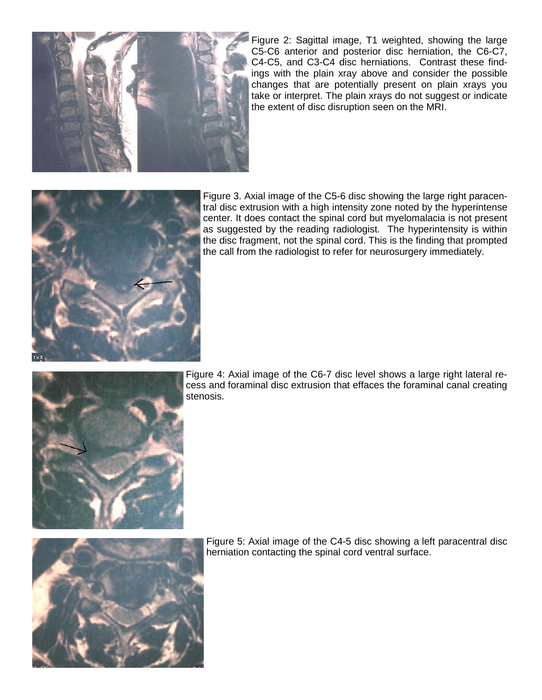

Figure 2: Sagittal image, T1 weighted, showing the large C5-C6 anterior and posterior disc herniation, the C6-C7, C4-C5, and C3-C4 disc herniations. Contrast these findings with the plain xray above and consider the possible changes that are potentially present on plain xrays you take or interpret. The plain xrays do not suggest or indicate the extent of disc disruption seen on the MRI.



Figure 3. Axial image of the C5-6 disc showing the large right paracentral disc extrusion with a high intensity zone noted by the hyperintense center. It does contact the spinal cord but myelomalacia is not present as suggested by the reading radiologist. The hyperintensity is within the disc fragment, not the spinal cord. This is the finding that prompted the call from the radiologist to refer for neurosurgery immediately.



Figure 4: Axial image of the C6-7 disc level shows a large right lateral recess and foraminal disc extrusion that effaces the foraminal canal creating stenosis.



Figure 5: Axial image of the C4-5 disc showing a left paracentral disc herniation contacting the spinal cord ventral surface.